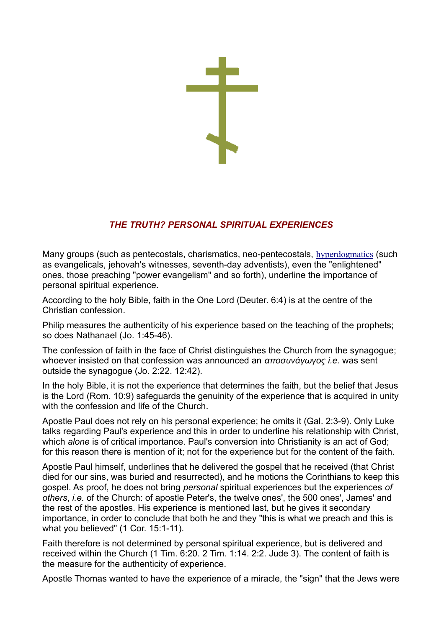## *THE TRUTH? PERSONAL SPIRITUAL EXPERIENCES*

Many groups (such as pentecostals, charismatics, neo-pentecostals, [hyperdogmatics](http://www.eastern-orthodoxy.com/orthodoxy1.htm#evangelic) (such as evangelicals, jehovah's witnesses, seventh-day adventists), even the "enlightened" ones, those preaching "power evangelism" and so forth), underline the importance of personal spiritual experience.

According to the holy Bible, faith in the One Lord (Deuter. 6:4) is at the centre of the Christian confession.

Philip measures the authenticity of his experience based on the teaching of the prophets; so does Nathanael (Jo. 1:45-46).

The confession of faith in the face of Christ distinguishes the Church from the synagogue; whoever insisted on that confession was announced an *αποσυνάγωγος i.e.* was sent outside the synagogue (Jo. 2:22. 12:42).

In the holy Bible, it is not the experience that determines the faith, but the belief that Jesus is the Lord (Rom. 10:9) safeguards the genuinity of the experience that is acquired in unity with the confession and life of the Church.

Apostle Paul does not rely on his personal experience; he omits it (Gal. 2:3-9). Only Luke talks regarding Paul's experience and this in order to underline his relationship with Christ, which *alone* is of critical importance. Paul's conversion into Christianity is an act of God; for this reason there is mention of it; not for the experience but for the content of the faith.

Apostle Paul himself, underlines that he delivered the gospel that he received (that Christ died for our sins, was buried and resurrected), and he motions the Corinthians to keep this gospel. As proof, he does not bring *personal* spiritual experiences but the experiences *of others*, *i.e.* of the Church: of apostle Peter's, the twelve ones', the 500 ones', James' and the rest of the apostles. His experience is mentioned last, but he gives it secondary importance, in order to conclude that both he and they "this is what we preach and this is what you believed" (1 Cor. 15:1-11).

Faith therefore is not determined by personal spiritual experience, but is delivered and received within the Church (1 Tim. 6:20. 2 Tim. 1:14. 2:2. Jude 3). The content of faith is the measure for the authenticity of experience.

Apostle Thomas wanted to have the experience of a miracle, the "sign" that the Jews were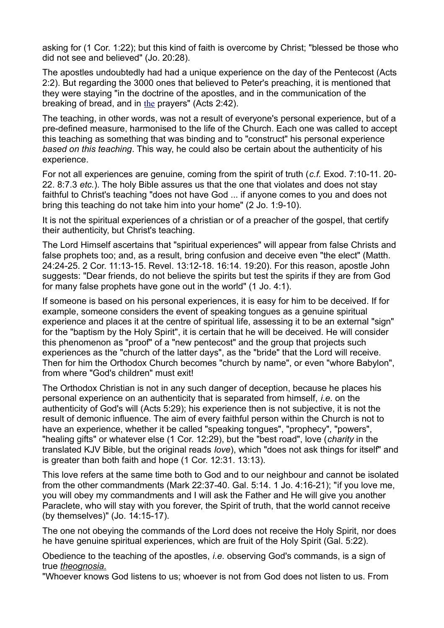asking for (1 Cor. 1:22); but this kind of faith is overcome by Christ; "blessed be those who did not see and believed" (Jo. 20:28).

The apostles undoubtedly had had a unique experience on the day of the Pentecost (Acts 2:2). But regarding the 3000 ones that believed to Peter's preaching, it is mentioned that they were staying "in the doctrine of the apostles, and in the communication of the breaking of bread, and in [the](http://www.eastern-orthodoxy.com/mysteries2.htm#the) prayers" (Acts 2:42).

The teaching, in other words, was not a result of everyone's personal experience, but of a pre-defined measure, harmonised to the life of the Church. Each one was called to accept this teaching as something that was binding and to "construct" his personal experience *based on this teaching*. This way, he could also be certain about the authenticity of his experience.

For not all experiences are genuine, coming from the spirit of truth (*c.f.* Exod. 7:10-11. 20- 22. 8:7.3 *etc.*). The holy Bible assures us that the one that violates and does not stay faithful to Christ's teaching "does not have God ... if anyone comes to you and does not bring this teaching do not take him into your home" (2 Jo. 1:9-10).

It is not the spiritual experiences of a christian or of a preacher of the gospel, that certify their authenticity, but Christ's teaching.

The Lord Himself ascertains that "spiritual experiences" will appear from false Christs and false prophets too; and, as a result, bring confusion and deceive even "the elect" (Matth. 24:24-25. 2 Cor. 11:13-15. Revel. 13:12-18. 16:14. 19:20). For this reason, apostle John suggests: "Dear friends, do not believe the spirits but test the spirits if they are from God for many false prophets have gone out in the world" (1 Jo. 4:1).

If someone is based on his personal experiences, it is easy for him to be deceived. If for example, someone considers the event of speaking tongues as a genuine spiritual experience and places it at the centre of spiritual life, assessing it to be an external "sign" for the "baptism by the Holy Spirit", it is certain that he will be deceived. He will consider this phenomenon as "proof" of a "new pentecost" and the group that projects such experiences as the "church of the latter days", as the "bride" that the Lord will receive. Then for him the Orthodox Church becomes "church by name", or even "whore Babylon", from where "God's children" must exit!

The Orthodox Christian is not in any such danger of deception, because he places his personal experience on an authenticity that is separated from himself, *i.e.* on the authenticity of God's will (Acts 5:29); his experience then is not subjective, it is not the result of demonic influence. The aim of every faithful person within the Church is not to have an experience, whether it be called "speaking tongues", "prophecy", "powers", "healing gifts" or whatever else (1 Cor. 12:29), but the "best road", love (*charity* in the translated KJV Bible, but the original reads *love*), which "does not ask things for itself" and is greater than both faith and hope (1 Cor. 12:31. 13:13).

This love refers at the same time both to God and to our neighbour and cannot be isolated from the other commandments (Mark 22:37-40. Gal. 5:14. 1 Jo. 4:16-21); "if you love me, you will obey my commandments and I will ask the Father and He will give you another Paraclete, who will stay with you forever, the Spirit of truth, that the world cannot receive (by themselves)" (Jo. 14:15-17).

The one not obeying the commands of the Lord does not receive the Holy Spirit, nor does he have genuine spiritual experiences, which are fruit of the Holy Spirit (Gal. 5:22).

Obedience to the teaching of the apostles, *i.e.* observing God's commands, is a sign of true *[theognosia.](http://www.eastern-orthodoxy.com/mysteries2.htm#theognosia)*

"Whoever knows God listens to us; whoever is not from God does not listen to us. From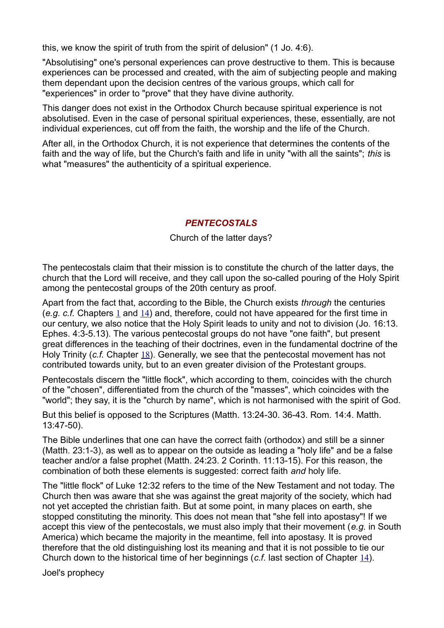this, we know the spirit of truth from the spirit of delusion" (1 Jo. 4:6).

"Absolutising" one's personal experiences can prove destructive to them. This is because experiences can be processed and created, with the aim of subjecting people and making them dependant upon the decision centres of the various groups, which call for "experiences" in order to "prove" that they have divine authority.

This danger does not exist in the Orthodox Church because spiritual experience is not absolutised. Even in the case of personal spiritual experiences, these, essentially, are not individual experiences, cut off from the faith, the worship and the life of the Church.

After all, in the Orthodox Church, it is not experience that determines the contents of the faith and the way of life, but the Church's faith and life in unity "with all the saints"; *this* is what "measures" the authenticity of a spiritual experience.

### *PENTECOSTALS*

### Church of the latter days?

The pentecostals claim that their mission is to constitute the church of the latter days, the church that the Lord will receive, and they call upon the so-called pouring of the Holy Spirit among the pentecostal groups of the 20th century as proof.

Apart from the fact that, according to the Bible, the Church exists *through* the centuries (*e.g. c.f.* Chapters [1](http://www.eastern-orthodoxy.com/orthodoxy1.htm) and [14](http://www.eastern-orthodoxy.com/mysteries04.htm)) and, therefore, could not have appeared for the first time in our century, we also notice that the Holy Spirit leads to unity and not to division (Jo. 16:13. Ephes. 4:3-5.13). The various pentecostal groups do not have "one faith", but present great differences in the teaching of their doctrines, even in the fundamental doctrine of the Holy Trinity (*c.f.* Chapter [18](http://www.eastern-orthodoxy.com/mysteries2.htm#trinity)). Generally, we see that the pentecostal movement has not contributed towards unity, but to an even greater division of the Protestant groups.

Pentecostals discern the "little flock", which according to them, coincides with the church of the "chosen", differentiated from the church of the "masses", which coincides with the "world"; they say, it is the "church by name", which is not harmonised with the spirit of God.

But this belief is opposed to the Scriptures (Matth. 13:24-30. 36-43. Rom. 14:4. Matth. 13:47-50).

The Bible underlines that one can have the correct faith (orthodox) and still be a sinner (Matth. 23:1-3), as well as to appear on the outside as leading a "holy life" and be a false teacher and/or a false prophet (Matth. 24:23. 2 Corinth. 11:13-15). For this reason, the combination of both these elements is suggested: correct faith *and* holy life.

The "little flock" of Luke 12:32 refers to the time of the New Testament and not today. The Church then was aware that she was against the great majority of the society, which had not yet accepted the christian faith. But at some point, in many places on earth, she stopped constituting the minority. This does not mean that "she fell into apostasy"! If we accept this view of the pentecostals, we must also imply that their movement (*e.g.* in South America) which became the majority in the meantime, fell into apostasy. It is proved therefore that the old distinguishing lost its meaning and that it is not possible to tie our Church down to the historical time of her beginnings (*c.f.* last section of Chapter [14](http://www.eastern-orthodoxy.com/mysteries04.htm)).

Joel's prophecy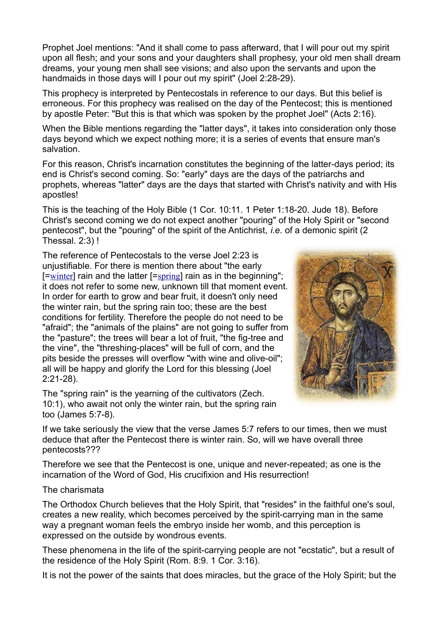Prophet Joel mentions: "And it shall come to pass afterward, that I will pour out my spirit upon all flesh; and your sons and your daughters shall prophesy, your old men shall dream dreams, your young men shall see visions; and also upon the servants and upon the handmaids in those days will I pour out my spirit" (Joel 2:28-29).

This prophecy is interpreted by Pentecostals in reference to our days. But this belief is erroneous. For this prophecy was realised on the day of the Pentecost; this is mentioned by apostle Peter: "But this is that which was spoken by the prophet Joel" (Acts 2:16).

When the Bible mentions regarding the "latter days", it takes into consideration only those days beyond which we expect nothing more; it is a series of events that ensure man's salvation.

For this reason, Christ's incarnation constitutes the beginning of the latter-days period; its end is Christ's second coming. So: "early" days are the days of the patriarchs and prophets, whereas "latter" days are the days that started with Christ's nativity and with His apostles!

This is the teaching of the Holy Bible (1 Cor. 10:11. 1 Peter 1:18-20. Jude 18). Before Christ's second coming we do not expect another "pouring" of the Holy Spirit or "second pentecost", but the "pouring" of the spirit of the Antichrist, *i.e.* of a demonic spirit (2 Thessal. 2:3) !

The reference of Pentecostals to the verse Joel 2:23 is unjustifiable. For there is mention there about "the early [=[winter](http://www.eastern-orthodoxy.com/mysteries2.htm#joel)] rain and the latter [=[spring](http://www.eastern-orthodoxy.com/mysteries2.htm#joel)] rain as in the beginning"; it does not refer to some new, unknown till that moment event. In order for earth to grow and bear fruit, it doesn't only need the winter rain, but the spring rain too; these are the best conditions for fertility. Therefore the people do not need to be "afraid"; the "animals of the plains" are not going to suffer from the "pasture"; the trees will bear a lot of fruit, "the fig-tree and the vine", the "threshing-places" will be full of corn, and the pits beside the presses will overflow "with wine and olive-oil"; all will be happy and glorify the Lord for this blessing (Joel 2:21-28).

The "spring rain" is the yearning of the cultivators (Zech. 10:1), who await not only the winter rain, but the spring rain too (James 5:7-8).



If we take seriously the view that the verse James 5:7 refers to our times, then we must deduce that after the Pentecost there is winter rain. So, will we have overall three pentecosts???

Therefore we see that the Pentecost is one, unique and never-repeated; as one is the incarnation of the Word of God, His crucifixion and His resurrection!

#### The charismata

The Orthodox Church believes that the Holy Spirit, that "resides" in the faithful one's soul, creates a new reality, which becomes perceived by the spirit-carrying man in the same way a pregnant woman feels the embryo inside her womb, and this perception is expressed on the outside by wondrous events.

These phenomena in the life of the spirit-carrying people are not "ecstatic", but a result of the residence of the Holy Spirit (Rom. 8:9. 1 Cor. 3:16).

It is not the power of the saints that does miracles, but the grace of the Holy Spirit; but the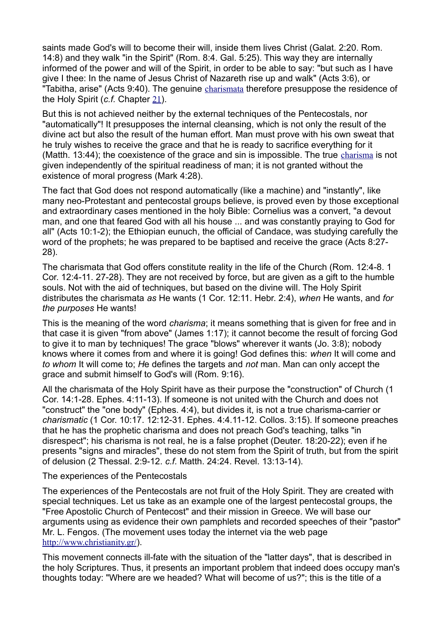saints made God's will to become their will, inside them lives Christ (Galat. 2:20. Rom. 14:8) and they walk "in the Spirit" (Rom. 8:4. Gal. 5:25). This way they are internally informed of the power and will of the Spirit, in order to be able to say: "but such as I have give I thee: In the name of Jesus Christ of Nazareth rise up and walk" (Acts 3:6), or "Tabitha, arise" (Acts 9:40). The genuine [charismata](http://www.eastern-orthodoxy.com/mysteries2.htm#charisma) therefore presuppose the residence of the Holy Spirit (*c.f.* Chapter [21](http://www.eastern-orthodoxy.com/mysteries2.htm#personal)).

But this is not achieved neither by the external techniques of the Pentecostals, nor "automatically"! It presupposes the internal cleansing, which is not only the result of the divine act but also the result of the human effort. Man must prove with his own sweat that he truly wishes to receive the grace and that he is ready to sacrifice everything for it (Matth. 13:44); the coexistence of the grace and sin is impossible. The true [charisma](http://www.eastern-orthodoxy.com/mysteries2.htm#charisma) is not given independently of the spiritual readiness of man; it is not granted without the existence of moral progress (Mark 4:28).

The fact that God does not respond automatically (like a machine) and "instantly", like many neo-Protestant and pentecostal groups believe, is proved even by those exceptional and extraordinary cases mentioned in the holy Bible: Cornelius was a convert, "a devout man, and one that feared God with all his house ... and was constantly praying to God for all" (Acts 10:1-2); the Ethiopian eunuch, the official of Candace, was studying carefully the word of the prophets; he was prepared to be baptised and receive the grace (Acts 8:27- 28).

The charismata that God offers constitute reality in the life of the Church (Rom. 12:4-8. 1 Cor. 12:4-11. 27-28). They are not received by force, but are given as a gift to the humble souls. Not with the aid of techniques, but based on the divine will. The Holy Spirit distributes the charismata *as* He wants (1 Cor. 12:11. Hebr. 2:4), *when* He wants, and *for the purposes* He wants!

This is the meaning of the word *charisma*; it means something that is given for free and in that case it is given "from above" (James 1:17); it cannot become the result of forcing God to give it to man by techniques! The grace "blows" wherever it wants (Jo. 3:8); nobody knows where it comes from and where it is going! God defines this: *when* It will come and *to whom* It will come to; *H*e defines the targets and *not* man. Man can only accept the grace and submit himself to God's will (Rom. 9:16).

All the charismata of the Holy Spirit have as their purpose the "construction" of Church (1 Cor. 14:1-28. Ephes. 4:11-13). If someone is not united with the Church and does not "construct" the "one body" (Ephes. 4:4), but divides it, is not a true charisma-carrier or *charismatic* (1 Cor. 10:17. 12:12-31. Ephes. 4:4.11-12. Collos. 3:15). If someone preaches that he has the prophetic charisma and does not preach God's teaching, talks "in disrespect"; his charisma is not real, he is a false prophet (Deuter. 18:20-22); even if he presents "signs and miracles", these do not stem from the Spirit of truth, but from the spirit of delusion (2 Thessal. 2:9-12. *c.f.* Matth. 24:24. Revel. 13:13-14).

The experiences of the Pentecostals

The experiences of the Pentecostals are not fruit of the Holy Spirit. They are created with special techniques. Let us take as an example one of the largest pentecostal groups, the "Free Apostolic Church of Pentecost" and their mission in Greece. We will base our arguments using as evidence their own pamphlets and recorded speeches of their "pastor" Mr. L. Fengos. (The movement uses today the internet via the web page <http://www.christianity.gr/>).

This movement connects ill-fate with the situation of the "latter days", that is described in the holy Scriptures. Thus, it presents an important problem that indeed does occupy man's thoughts today: "Where are we headed? What will become of us?"; this is the title of a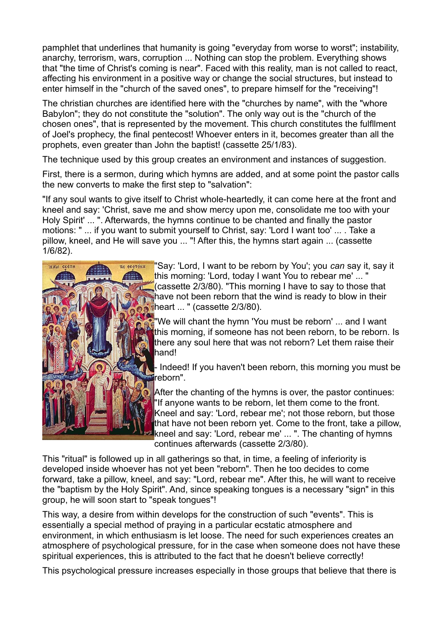pamphlet that underlines that humanity is going "everyday from worse to worst"; instability, anarchy, terrorism, wars, corruption ... Nothing can stop the problem. Everything shows that "the time of Christ's coming is near". Faced with this reality, man is not called to react, affecting his environment in a positive way or change the social structures, but instead to enter himself in the "church of the saved ones", to prepare himself for the "receiving"!

The christian churches are identified here with the "churches by name", with the "whore Babylon"; they do not constitute the "solution". The only way out is the "church of the chosen ones", that is represented by the movement. This church constitutes the fulfllment of Joel's prophecy, the final pentecost! Whoever enters in it, becomes greater than all the prophets, even greater than John the baptist! (cassette 25/1/83).

The technique used by this group creates an environment and instances of suggestion.

First, there is a sermon, during which hymns are added, and at some point the pastor calls the new converts to make the first step to "salvation":

"If any soul wants to give itself to Christ whole-heartedly, it can come here at the front and kneel and say: 'Christ, save me and show mercy upon me, consolidate me too with your Holy Spirit' ... ". Afterwards, the hymns continue to be chanted and finally the pastor motions: " ... if you want to submit yourself to Christ, say: 'Lord I want too' ... . Take a pillow, kneel, and He will save you ... "! After this, the hymns start again ... (cassette 1/6/82).



"Say: 'Lord, I want to be reborn by You'; you *can* say it, say it this morning: 'Lord, today I want You to rebear me'... Cassette 2/3/80). "This morning I have to say to those that have not been reborn that the wind is ready to blow in their heart ... " (cassette 2/3/80).

"We will chant the hymn 'You must be reborn' ... and I want this morning, if someone has not been reborn, to be reborn. Is there any soul here that was not reborn? Let them raise their hand!

- Indeed! If you haven't been reborn, this morning you must be reborn".

After the chanting of the hymns is over, the pastor continues: "If anyone wants to be reborn, let them come to the front. Kneel and say: 'Lord, rebear me'; not those reborn, but those that have not been reborn yet. Come to the front, take a pillow, kneel and say: 'Lord, rebear me' ... ". The chanting of hymns continues afterwards (cassette 2/3/80).

This "ritual" is followed up in all gatherings so that, in time, a feeling of inferiority is developed inside whoever has not yet been "reborn". Then he too decides to come forward, take a pillow, kneel, and say: "Lord, rebear me". After this, he will want to receive the "baptism by the Holy Spirit". And, since speaking tongues is a necessary "sign" in this group, he will soon start to "speak tongues"!

This way, a desire from within develops for the construction of such "events". This is essentially a special method of praying in a particular ecstatic atmosphere and environment, in which enthusiasm is let loose. The need for such experiences creates an atmosphere of psychological pressure, for in the case when someone does not have these spiritual experiences, this is attributed to the fact that he doesn't believe correctly!

This psychological pressure increases especially in those groups that believe that there is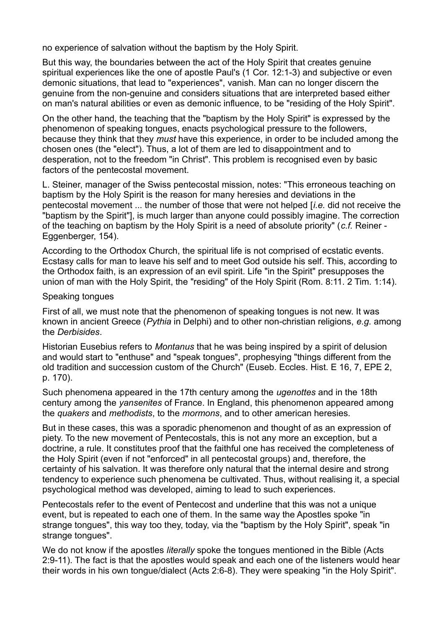no experience of salvation without the baptism by the Holy Spirit.

But this way, the boundaries between the act of the Holy Spirit that creates genuine spiritual experiences like the one of apostle Paul's (1 Cor. 12:1-3) and subjective or even demonic situations, that lead to "experiences", vanish. Man can no longer discern the genuine from the non-genuine and considers situations that are interpreted based either on man's natural abilities or even as demonic influence, to be "residing of the Holy Spirit".

On the other hand, the teaching that the "baptism by the Holy Spirit" is expressed by the phenomenon of speaking tongues, enacts psychological pressure to the followers, because they think that they *must* have this experience, in order to be included among the chosen ones (the "elect"). Thus, a lot of them are led to disappointment and to desperation, not to the freedom "in Christ". This problem is recognised even by basic factors of the pentecostal movement.

L. Steiner, manager of the Swiss pentecostal mission, notes: "This erroneous teaching on baptism by the Holy Spirit is the reason for many heresies and deviations in the pentecostal movement ... the number of those that were not helped [*i.e.* did not receive the "baptism by the Spirit"], is much larger than anyone could possibly imagine. The correction of the teaching on baptism by the Holy Spirit is a need of absolute priority" (*c.f.* Reiner - Eggenberger, 154).

According to the Orthodox Church, the spiritual life is not comprised of ecstatic events. Ecstasy calls for man to leave his self and to meet God outside his self. This, according to the Orthodox faith, is an expression of an evil spirit. Life "in the Spirit" presupposes the union of man with the Holy Spirit, the "residing" of the Holy Spirit (Rom. 8:11. 2 Tim. 1:14).

#### Speaking tongues

First of all, we must note that the phenomenon of speaking tongues is not new. It was known in ancient Greece (*Pythia* in Delphi) and to other non-christian religions, *e.g.* among the *Derbisides*.

Historian Eusebius refers to *Montanus* that he was being inspired by a spirit of delusion and would start to "enthuse" and "speak tongues", prophesying "things different from the old tradition and succession custom of the Church" (Euseb. Eccles. Hist. E 16, 7, EPE 2, p. 170).

Such phenomena appeared in the 17th century among the *ugenottes* and in the 18th century among the *yansenites* of France. In England, this phenomenon appeared among the *quakers* and *methodists*, to the *mormons*, and to other american heresies.

But in these cases, this was a sporadic phenomenon and thought of as an expression of piety. To the new movement of Pentecostals, this is not any more an exception, but a doctrine, a rule. It constitutes proof that the faithful one has received the completeness of the Holy Spirit (even if not "enforced" in all pentecostal groups) and, therefore, the certainty of his salvation. It was therefore only natural that the internal desire and strong tendency to experience such phenomena be cultivated. Thus, without realising it, a special psychological method was developed, aiming to lead to such experiences.

Pentecostals refer to the event of Pentecost and underline that this was not a unique event, but is repeated to each one of them. In the same way the Apostles spoke "in strange tongues", this way too they, today, via the "baptism by the Holy Spirit", speak "in strange tongues".

We do not know if the apostles *literally* spoke the tongues mentioned in the Bible (Acts 2:9-11). The fact is that the apostles would speak and each one of the listeners would hear their words in his own tongue/dialect (Acts 2:6-8). They were speaking "in the Holy Spirit".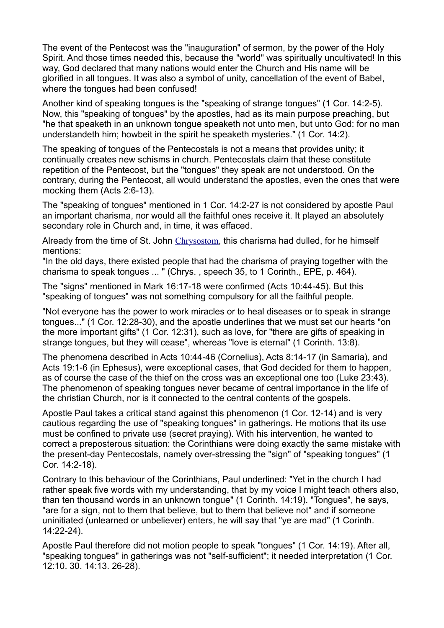The event of the Pentecost was the "inauguration" of sermon, by the power of the Holy Spirit. And those times needed this, because the "world" was spiritually uncultivated! In this way, God declared that many nations would enter the Church and His name will be glorified in all tongues. It was also a symbol of unity, cancellation of the event of Babel, where the tongues had been confused!

Another kind of speaking tongues is the "speaking of strange tongues" (1 Cor. 14:2-5). Now, this "speaking of tongues" by the apostles, had as its main purpose preaching, but "he that speaketh in an unknown tongue speaketh not unto men, but unto God: for no man understandeth him; howbeit in the spirit he speaketh mysteries." (1 Cor. 14:2).

The speaking of tongues of the Pentecostals is not a means that provides unity; it continually creates new schisms in church. Pentecostals claim that these constitute repetition of the Pentecost, but the "tongues" they speak are not understood. On the contrary, during the Pentecost, all would understand the apostles, even the ones that were mocking them (Acts 2:6-13).

The "speaking of tongues" mentioned in 1 Cor. 14:2-27 is not considered by apostle Paul an important charisma, nor would all the faithful ones receive it. It played an absolutely secondary role in Church and, in time, it was effaced.

Already from the time of St. John [Chrysostom](http://www.eastern-orthodoxy.com/orthodoxy1.htm#Chrysostomos), this charisma had dulled, for he himself mentions:

"In the old days, there existed people that had the charisma of praying together with the charisma to speak tongues ... " (Chrys. , speech 35, to 1 Corinth., EPE, p. 464).

The "signs" mentioned in Mark 16:17-18 were confirmed (Acts 10:44-45). But this "speaking of tongues" was not something compulsory for all the faithful people.

"Not everyone has the power to work miracles or to heal diseases or to speak in strange tongues..." (1 Cor. 12:28-30), and the apostle underlines that we must set our hearts "on the more important gifts" (1 Cor. 12:31), such as love, for "there are gifts of speaking in strange tongues, but they will cease", whereas "love is eternal" (1 Corinth. 13:8).

The phenomena described in Acts 10:44-46 (Cornelius), Acts 8:14-17 (in Samaria), and Acts 19:1-6 (in Ephesus), were exceptional cases, that God decided for them to happen, as of course the case of the thief on the cross was an exceptional one too (Luke 23:43). The phenomenon of speaking tongues never became of central importance in the life of the christian Church, nor is it connected to the central contents of the gospels.

Apostle Paul takes a critical stand against this phenomenon (1 Cor. 12-14) and is very cautious regarding the use of "speaking tongues" in gatherings. He motions that its use must be confined to private use (secret praying). With his intervention, he wanted to correct a preposterous situation: the Corinthians were doing exactly the same mistake with the present-day Pentecostals, namely over-stressing the "sign" of "speaking tongues" (1 Cor. 14:2-18).

Contrary to this behaviour of the Corinthians, Paul underlined: "Yet in the church I had rather speak five words with my understanding, that by my voice I might teach others also, than ten thousand words in an unknown tongue" (1 Corinth. 14:19). "Tongues", he says, "are for a sign, not to them that believe, but to them that believe not" and if someone uninitiated (unlearned or unbeliever) enters, he will say that "ye are mad" (1 Corinth. 14:22-24).

Apostle Paul therefore did not motion people to speak "tongues" (1 Cor. 14:19). After all, "speaking tongues" in gatherings was not "self-sufficient"; it needed interpretation (1 Cor. 12:10. 30. 14:13. 26-28).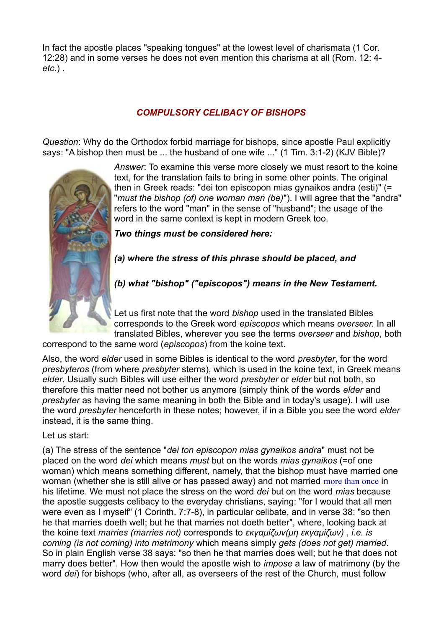In fact the apostle places "speaking tongues" at the lowest level of charismata (1 Cor. 12:28) and in some verses he does not even mention this charisma at all (Rom. 12: 4 *etc.*) .

## *COMPULSORY CELIBACY OF BISHOPS*

*Question*: Why do the Orthodox forbid marriage for bishops, since apostle Paul explicitly says: "A bishop then must be ... the husband of one wife ..." (1 Tim. 3:1-2) (KJV Bible)?



*Answer*: To examine this verse more closely we must resort to the koine text, for the translation fails to bring in some other points. The original then in Greek reads: "dei ton episcopon mias gynaikos andra (esti)" (= "*must the bishop (of) one woman man (be)*"). I will agree that the "andra" refers to the word "man" in the sense of "husband"; the usage of the word in the same context is kept in modern Greek too.

*Two things must be considered here:*

*(a) where the stress of this phrase should be placed, and*

*(b) what "bishop" ("episcopos") means in the New Testament.*

Let us first note that the word *bishop* used in the translated Bibles corresponds to the Greek word *episcopos* which means *overseer.* In all translated Bibles, wherever you see the terms *overseer* and *bishop*, both

correspond to the same word (*episcopos*) from the koine text.

Also, the word *elder* used in some Bibles is identical to the word *presbyter*, for the word *presbyteros* (from where *presbyter* stems), which is used in the koine text, in Greek means *elder*. Usually such Bibles will use either the word *presbyter* or *elder* but not both, so therefore this matter need not bother us anymore (simply think of the words *elder* and *presbyter* as having the same meaning in both the Bible and in today's usage). I will use the word *presbyter* henceforth in these notes; however, if in a Bible you see the word *elder* instead, it is the same thing.

Let us start:

(a) The stress of the sentence "*dei ton episcopon mias gynaikos andra*" must not be placed on the word *dei* which means *must* but on the words *mias gynaikos* (=of one woman) which means something different, namely, that the bishop must have married one woman (whether she is still alive or has passed away) and not married [more than once](http://www.eastern-orthodoxy.com/mysteries2.htm#bishop) in his lifetime. We must not place the stress on the word *dei* but on the word *mias* because the apostle suggests celibacy to the everyday christians, saying: "for I would that all men were even as I myself" (1 Corinth. 7:7-8), in particular celibate, and in verse 38: "so then he that marries doeth well; but he that marries not doeth better", where, looking back at the koine text *marries (marries not)* corresponds to *εκγαμίζων(μη εκγαμίζων)* , *i.e. is coming (is not coming) into matrimony* which means simply *gets (does not get) married*. So in plain English verse 38 says: "so then he that marries does well; but he that does not marry does better". How then would the apostle wish to *impose* a law of matrimony (by the word *dei*) for bishops (who, after all, as overseers of the rest of the Church, must follow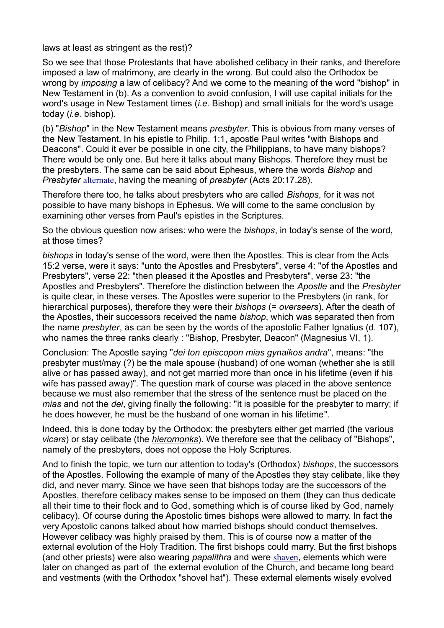laws at least as stringent as the rest)?

So we see that those Protestants that have abolished celibacy in their ranks, and therefore imposed a law of matrimony, are clearly in the wrong. But could also the Orthodox be wrong by *[imposing](http://www.eastern-orthodoxy.com/mysteries2.htm#imposing)* a law of celibacy? And we come to the meaning of the word "bishop" in New Testament in (b). As a convention to avoid confusion, I will use capital initials for the word's usage in New Testament times (*i.e.* Bishop) and small initials for the word's usage today (*i.e.* bishop).

(b) "*Bishop*" in the New Testament means *presbyter*. This is obvious from many verses of the New Testament. In his epistle to Philip. 1:1, apostle Paul writes "with Bishops and Deacons". Could it ever be possible in one city, the Philippians, to have many bishops? There would be only one. But here it talks about many Bishops. Therefore they must be the presbyters. The same can be said about Ephesus, where the words *Bishop* and *Presbyter* [alternate](http://www.eastern-orthodoxy.com/mysteries2.htm#bishop2), having the meaning of *presbyter* (Acts 20:17.28).

Therefore there too, he talks about presbyters who are called *Bishops*, for it was not possible to have many bishops in Ephesus. We will come to the same conclusion by examining other verses from Paul's epistles in the Scriptures.

So the obvious question now arises: who were the *bishops*, in today's sense of the word, at those times?

*bishops* in today's sense of the word, were then the Apostles. This is clear from the Acts 15:2 verse, were it says: "unto the Apostles and Presbyters", verse 4: "of the Apostles and Presbyters", verse 22: "then pleased it the Apostles and Presbyters", verse 23: "the Apostles and Presbyters". Therefore the distinction between the *Apostle* and the *Presbyter* is quite clear, in these verses. The Apostles were superior to the Presbyters (in rank, for hierarchical purposes), therefore they were their *bishops* (= *overseers*). After the death of the Apostles, their successors received the name *bishop*, which was separated then from the name *presbyter*, as can be seen by the words of the apostolic Father Ignatius (d. 107), who names the three ranks clearly : "Bishop, Presbyter, Deacon" (Magnesius VI, 1).

Conclusion: The Apostle saying "*dei ton episcopon mias gynaikos andra*", means: "the presbyter must/may (?) be the male spouse (husband) of one woman (whether she is still alive or has passed away), and not get married more than once in his lifetime (even if his wife has passed away)". The question mark of course was placed in the above sentence because we must also remember that the stress of the sentence must be placed on the *mias* and not the *dei*, giving finally the following: "it is possible for the presbyter to marry; if he does however, he must be the husband of one woman in his lifetime".

Indeed, this is done today by the Orthodox: the presbyters either get married (the various *vicars*) or stay celibate (the *[hieromonks](http://www.eastern-orthodoxy.com/mysteries2.htm#hieromonks)*). We therefore see that the celibacy of "Bishops", namely of the presbyters, does not oppose the Holy Scriptures.

And to finish the topic, we turn our attention to today's (Orthodox) *bishops*, the successors of the Apostles. Following the example of many of the Apostles they stay celibate, like they did, and never marry. Since we have seen that bishops today are the successors of the Apostles, therefore celibacy makes sense to be imposed on them (they can thus dedicate all their time to their flock and to God, something which is of course liked by God, namely celibacy). Of course during the Apostolic times bishops were allowed to marry. In fact the very Apostolic canons talked about how married bishops should conduct themselves. However celibacy was highly praised by them. This is of course now a matter of the external evolution of the Holy Tradition. The first bishops could marry. But the first bishops (and other priests) were also wearing *papalithra* and were [shaven](http://www.eastern-orthodoxy.com/mysteries2.htm#shaven), elements which were later on changed as part of the external evolution of the Church, and became long beard and vestments (with the Orthodox "shovel hat"). These external elements wisely evolved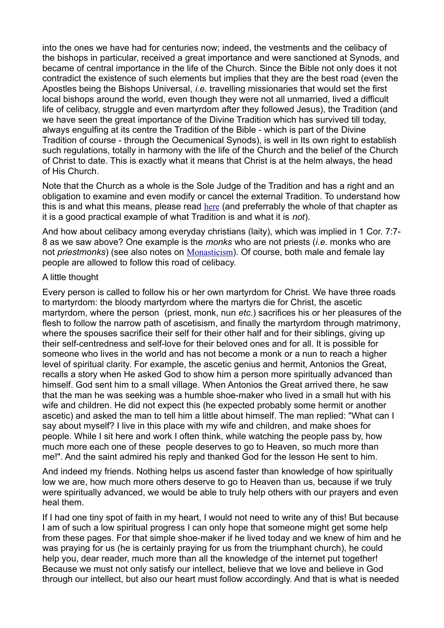into the ones we have had for centuries now; indeed, the vestments and the celibacy of the bishops in particular, received a great importance and were sanctioned at Synods, and became of central importance in the life of the Church. Since the Bible not only does it not contradict the existence of such elements but implies that they are the best road (even the Apostles being the Bishops Universal, *i.e.* travelling missionaries that would set the first local bishops around the world, even though they were not all unmarried, lived a difficult life of celibacy, struggle and even martyrdom after they followed Jesus), the Tradition (and we have seen the great importance of the Divine Tradition which has survived till today, always engulfing at its centre the Tradition of the Bible - which is part of the Divine Tradition of course - through the Oecumenical Synods), is well in Its own right to establish such regulations, totally in harmony with the life of the Church and the belief of the Church of Christ to date. This is exactly what it means that Christ is at the helm always, the head of His Church.

Note that the Church as a whole is the Sole Judge of the Tradition and has a right and an obligation to examine and even modify or cancel the external Tradition. To understand how this is and what this means, please read [here](http://www.eastern-orthodoxy.com/calendar.htm#asterisks) (and preferrably the whole of that chapter as it is a good practical example of what Tradition is and what it is *not*).

And how about celibacy among everyday christians (laity), which was implied in 1 Cor. 7:7- 8 as we saw above? One example is the *monks* who are not priests (*i.e.* monks who are not *priestmonks*) (see also notes on [Monasticism](http://www.eastern-orthodoxy.com/mysteries07.htm)). Of course, both male and female lay people are allowed to follow this road of celibacy.

#### A little thought

Every person is called to follow his or her own martyrdom for Christ. We have three roads to martyrdom: the bloody martyrdom where the martyrs die for Christ, the ascetic martyrdom, where the person (priest, monk, nun *etc.*) sacrifices his or her pleasures of the flesh to follow the narrow path of ascetisism, and finally the martyrdom through matrimony, where the spouses sacrifice their self for their other half and for their siblings, giving up their self-centredness and self-love for their beloved ones and for all. It is possible for someone who lives in the world and has not become a monk or a nun to reach a higher level of spiritual clarity. For example, the ascetic genius and hermit, Antonios the Great, recalls a story when He asked God to show him a person more spiritually advanced than himself. God sent him to a small village. When Antonios the Great arrived there, he saw that the man he was seeking was a humble shoe-maker who lived in a small hut with his wife and children. He did not expect this (he expected probably some hermit or another ascetic) and asked the man to tell him a little about himself. The man replied: "What can I say about myself? I live in this place with my wife and children, and make shoes for people. While I sit here and work I often think, while watching the people pass by, how much more each one of these people deserves to go to Heaven, so much more than me!". And the saint admired his reply and thanked God for the lesson He sent to him.

And indeed my friends. Nothing helps us ascend faster than knowledge of how spiritually low we are, how much more others deserve to go to Heaven than us, because if we truly were spiritually advanced, we would be able to truly help others with our prayers and even heal them.

If I had one tiny spot of faith in my heart, I would not need to write any of this! But because I am of such a low spiritual progress I can only hope that someone might get some help from these pages. For that simple shoe-maker if he lived today and we knew of him and he was praying for us (he is certainly praying for us from the triumphant church), he could help you, dear reader, much more than all the knowledge of the internet put together! Because we must not only satisfy our intellect, believe that we love and believe in God through our intellect, but also our heart must follow accordingly. And that is what is needed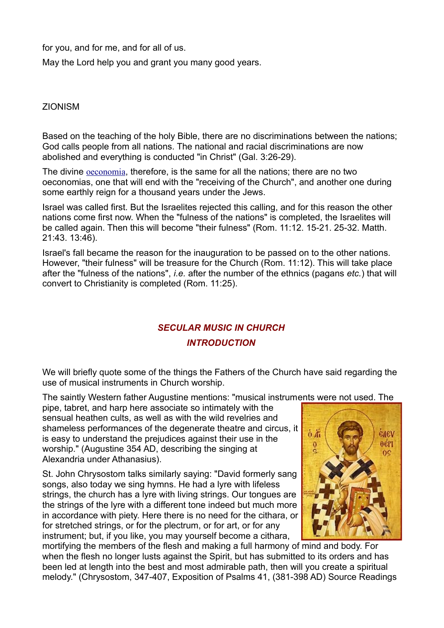for you, and for me, and for all of us.

May the Lord help you and grant you many good years.

ZIONISM

Based on the teaching of the holy Bible, there are no discriminations between the nations; God calls people from all nations. The national and racial discriminations are now abolished and everything is conducted "in Christ" (Gal. 3:26-29).

The divine [oeconomia](http://www.eastern-orthodoxy.com/orthodoxy5.htm#oeconomia), therefore, is the same for all the nations; there are no two oeconomias, one that will end with the "receiving of the Church", and another one during some earthly reign for a thousand years under the Jews.

Israel was called first. But the Israelites rejected this calling, and for this reason the other nations come first now. When the "fulness of the nations" is completed, the Israelites will be called again. Then this will become "their fulness" (Rom. 11:12. 15-21. 25-32. Matth. 21:43. 13:46).

Israel's fall became the reason for the inauguration to be passed on to the other nations. However, "their fulness" will be treasure for the Church (Rom. 11:12). This will take place after the "fulness of the nations", *i.e.* after the number of the ethnics (pagans *etc.*) that will convert to Christianity is completed (Rom. 11:25).

# *SECULAR MUSIC IN CHURCH INTRODUCTION*

We will briefly quote some of the things the Fathers of the Church have said regarding the use of musical instruments in Church worship.

The saintly Western father Augustine mentions: "musical instruments were not used. The

pipe, tabret, and harp here associate so intimately with the sensual heathen cults, as well as with the wild revelries and shameless performances of the degenerate theatre and circus, it is easy to understand the prejudices against their use in the worship." (Augustine 354 AD, describing the singing at Alexandria under Athanasius).

St. John Chrysostom talks similarly saying: "David formerly sang songs, also today we sing hymns. He had a lyre with lifeless strings, the church has a lyre with living strings. Our tongues are the strings of the lyre with a different tone indeed but much more in accordance with piety. Here there is no need for the cithara, or for stretched strings, or for the plectrum, or for art, or for any instrument; but, if you like, you may yourself become a cithara,



mortifying the members of the flesh and making a full harmony of mind and body. For when the flesh no longer lusts against the Spirit, but has submitted to its orders and has been led at length into the best and most admirable path, then will you create a spiritual melody." (Chrysostom, 347-407, Exposition of Psalms 41, (381-398 AD) Source Readings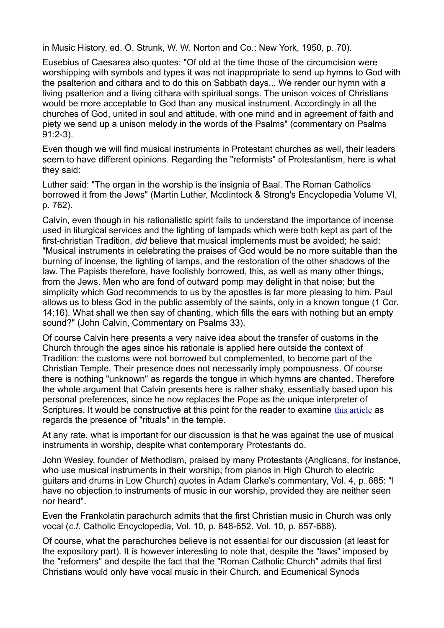in Music History, ed. O. Strunk, W. W. Norton and Co.: New York, 1950, p. 70).

Eusebius of Caesarea also quotes: "Of old at the time those of the circumcision were worshipping with symbols and types it was not inappropriate to send up hymns to God with the psalterion and cithara and to do this on Sabbath days... We render our hymn with a living psalterion and a living cithara with spiritual songs. The unison voices of Christians would be more acceptable to God than any musical instrument. Accordingly in all the churches of God, united in soul and attitude, with one mind and in agreement of faith and piety we send up a unison melody in the words of the Psalms" (commentary on Psalms 91:2-3).

Even though we will find musical instruments in Protestant churches as well, their leaders seem to have different opinions. Regarding the "reformists" of Protestantism, here is what they said:

Luther said: "The organ in the worship is the insignia of Baal. The Roman Catholics borrowed it from the Jews" (Martin Luther, Mcclintock & Strong's Encyclopedia Volume VI, p. 762).

Calvin, even though in his rationalistic spirit fails to understand the importance of incense used in liturgical services and the lighting of lampads which were both kept as part of the first-christian Tradition, *did* believe that musical implements must be avoided; he said: "Musical instruments in celebrating the praises of God would be no more suitable than the burning of incense, the lighting of lamps, and the restoration of the other shadows of the law. The Papists therefore, have foolishly borrowed, this, as well as many other things, from the Jews. Men who are fond of outward pomp may delight in that noise; but the simplicity which God recommends to us by the apostles is far more pleasing to him. Paul allows us to bless God in the public assembly of the saints, only in a known tongue (1 Cor. 14:16). What shall we then say of chanting, which fills the ears with nothing but an empty sound?" (John Calvin, Commentary on Psalms 33).

Of course Calvin here presents a very naive idea about the transfer of customs in the Church through the ages since his rationale is applied here outside the context of Tradition: the customs were not borrowed but complemented, to become part of the Christian Temple. Their presence does not necessarily imply pompousness. Of course there is nothing "unknown" as regards the tongue in which hymns are chanted. Therefore the whole argument that Calvin presents here is rather shaky, essentially based upon his personal preferences, since he now replaces the Pope as the unique interpreter of Scriptures. It would be constructive at this point for the reader to examine [this article](http://www.eastern-orthodoxy.com/ritual.rtf) as regards the presence of "rituals" in the temple.

At any rate, what is important for our discussion is that he was against the use of musical instruments in worship, despite what contemporary Protestants do.

John Wesley, founder of Methodism, praised by many Protestants (Anglicans, for instance, who use musical instruments in their worship; from pianos in High Church to electric guitars and drums in Low Church) quotes in Adam Clarke's commentary, Vol. 4, p. 685: "I have no objection to instruments of music in our worship, provided they are neither seen nor heard".

Even the Frankolatin parachurch admits that the first Christian music in Church was only vocal (*c.f.* Catholic Encyclopedia, Vol. 10, p. 648-652. Vol. 10, p. 657-688).

Of course, what the parachurches believe is not essential for our discussion (at least for the expository part). It is however interesting to note that, despite the "laws" imposed by the "reformers" and despite the fact that the "Roman Catholic Church" admits that first Christians would only have vocal music in their Church, and Ecumenical Synods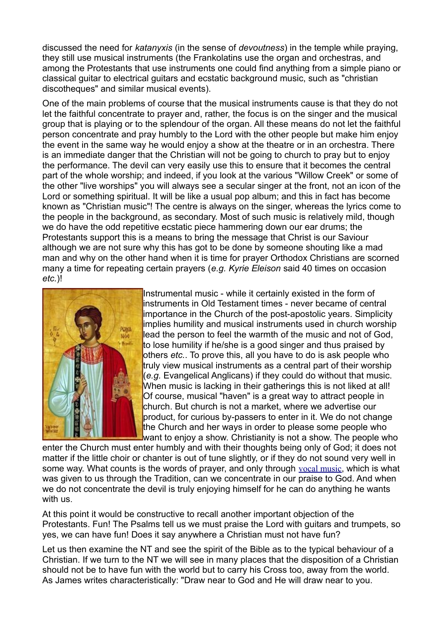discussed the need for *katanyxis* (in the sense of *devoutness*) in the temple while praying, they still use musical instruments (the Frankolatins use the organ and orchestras, and among the Protestants that use instruments one could find anything from a simple piano or classical guitar to electrical guitars and ecstatic background music, such as "christian discotheques" and similar musical events).

One of the main problems of course that the musical instruments cause is that they do not let the faithful concentrate to prayer and, rather, the focus is on the singer and the musical group that is playing or to the splendour of the organ. All these means do not let the faithful person concentrate and pray humbly to the Lord with the other people but make him enjoy the event in the same way he would enjoy a show at the theatre or in an orchestra. There is an immediate danger that the Christian will not be going to church to pray but to enjoy the performance. The devil can very easily use this to ensure that it becomes the central part of the whole worship; and indeed, if you look at the various "Willow Creek" or some of the other "live worships" you will always see a secular singer at the front, not an icon of the Lord or something spiritual. It will be like a usual pop album; and this in fact has become known as "Christian music"! The centre is always on the singer, whereas the lyrics come to the people in the background, as secondary. Most of such music is relatively mild, though we do have the odd repetitive ecstatic piece hammering down our ear drums; the Protestants support this is a means to bring the message that Christ is our Saviour although we are not sure why this has got to be done by someone shouting like a mad man and why on the other hand when it is time for prayer Orthodox Christians are scorned many a time for repeating certain prayers (*e.g. Kyrie Eleison* said 40 times on occasion *etc.*)!



Instrumental music - while it certainly existed in the form of instruments in Old Testament times - never became of central importance in the Church of the post-apostolic years. Simplicity implies humility and musical instruments used in church worship lead the person to feel the warmth of the music and not of God, to lose humility if he/she is a good singer and thus praised by others *etc.*. To prove this, all you have to do is ask people who truly view musical instruments as a central part of their worship (*e.g.* Evangelical Anglicans) if they could do without that music. When music is lacking in their gatherings this is not liked at all! Of course, musical "haven" is a great way to attract people in church. But church is not a market, where we advertise our product, for curious by-passers to enter in it. We do not change the Church and her ways in order to please some people who want to enjoy a show. Christianity is not a show. The people who

enter the Church must enter humbly and with their thoughts being only of God; it does not matter if the little choir or chanter is out of tune slightly, or if they do not sound very well in some way. What counts is the words of prayer, and only through [vocal music](http://www.eastern-orthodoxy.com/mysteries2.htm#vocal), which is what was given to us through the Tradition, can we concentrate in our praise to God. And when we do not concentrate the devil is truly enjoying himself for he can do anything he wants with us.

At this point it would be constructive to recall another important objection of the Protestants. Fun! The Psalms tell us we must praise the Lord with guitars and trumpets, so yes, we can have fun! Does it say anywhere a Christian must not have fun?

Let us then examine the NT and see the spirit of the Bible as to the typical behaviour of a Christian. If we turn to the NT we will see in many places that the disposition of a Christian should not be to have fun with the world but to carry his Cross too, away from the world. As James writes characteristically: "Draw near to God and He will draw near to you.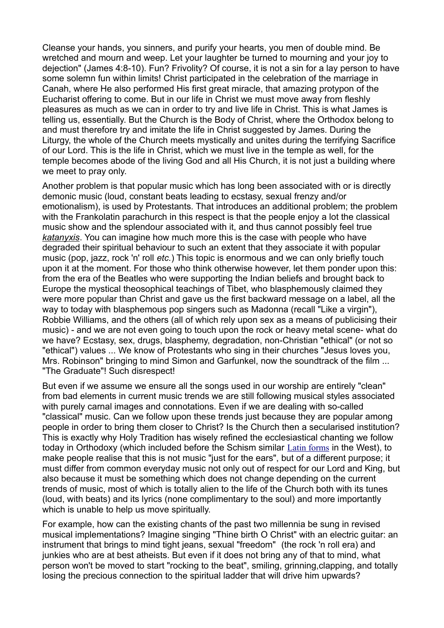Cleanse your hands, you sinners, and purify your hearts, you men of double mind. Be wretched and mourn and weep. Let your laughter be turned to mourning and your joy to dejection" (James 4:8-10). Fun? Frivolity? Of course, it is not a sin for a lay person to have some solemn fun within limits! Christ participated in the celebration of the marriage in Canah, where He also performed His first great miracle, that amazing protypon of the Eucharist offering to come. But in our life in Christ we must move away from fleshly pleasures as much as we can in order to try and live life in Christ. This is what James is telling us, essentially. But the Church is the Body of Christ, where the Orthodox belong to and must therefore try and imitate the life in Christ suggested by James. During the Liturgy, the whole of the Church meets mystically and unites during the terrifying Sacrifice of our Lord. This is the life in Christ, which we must live in the temple as well, for the temple becomes abode of the living God and all His Church, it is not just a building where we meet to pray only.

Another problem is that popular music which has long been associated with or is directly demonic music (loud, constant beats leading to ecstasy, sexual frenzy and/or emotionalism), is used by Protestants. That introduces an additional problem; the problem with the Frankolatin parachurch in this respect is that the people enjoy a lot the classical music show and the splendour associated with it, and thus cannot possibly feel true *[katanyxis](http://www.eastern-orthodoxy.com/mysteries2.htm#katanyxis)*. You can imagine how much more this is the case with people who have degraded their spiritual behaviour to such an extent that they associate it with popular music (pop, jazz, rock 'n' roll *etc.*) This topic is enormous and we can only briefly touch upon it at the moment. For those who think otherwise however, let them ponder upon this: from the era of the Beatles who were supporting the Indian beliefs and brought back to Europe the mystical theosophical teachings of Tibet, who blasphemously claimed they were more popular than Christ and gave us the first backward message on a label, all the way to today with blasphemous pop singers such as Madonna (recall "Like a virgin"), Robbie Williams, and the others (all of which rely upon sex as a means of publicising their music) - and we are not even going to touch upon the rock or heavy metal scene- what do we have? Ecstasy, sex, drugs, blasphemy, degradation, non-Christian "ethical" (or not so "ethical") values ... We know of Protestants who sing in their churches "Jesus loves you, Mrs. Robinson" bringing to mind Simon and Garfunkel, now the soundtrack of the film ... "The Graduate"! Such disrespect!

But even if we assume we ensure all the songs used in our worship are entirely "clean" from bad elements in current music trends we are still following musical styles associated with purely carnal images and connotations. Even if we are dealing with so-called "classical" music. Can we follow upon these trends just because they are popular among people in order to bring them closer to Christ? Is the Church then a secularised institution? This is exactly why Holy Tradition has wisely refined the ecclesiastical chanting we follow today in Orthodoxy (which included before the Schism similar [Latin forms](http://www.eastern-orthodoxy.com/mysteries2.htm#vocal) in the West), to make people realise that this is not music "just for the ears", but of a different purpose; it must differ from common everyday music not only out of respect for our Lord and King, but also because it must be something which does not change depending on the current trends of music, most of which is totally alien to the life of the Church both with its tunes (loud, with beats) and its lyrics (none complimentary to the soul) and more importantly which is unable to help us move spiritually.

For example, how can the existing chants of the past two millennia be sung in revised musical implementations? Imagine singing "Thine birth O Christ" with an electric guitar: an instrument that brings to mind tight jeans, sexual "freedom" (the rock 'n roll era) and junkies who are at best atheists. But even if it does not bring any of that to mind, what person won't be moved to start "rocking to the beat", smiling, grinning,clapping, and totally losing the precious connection to the spiritual ladder that will drive him upwards?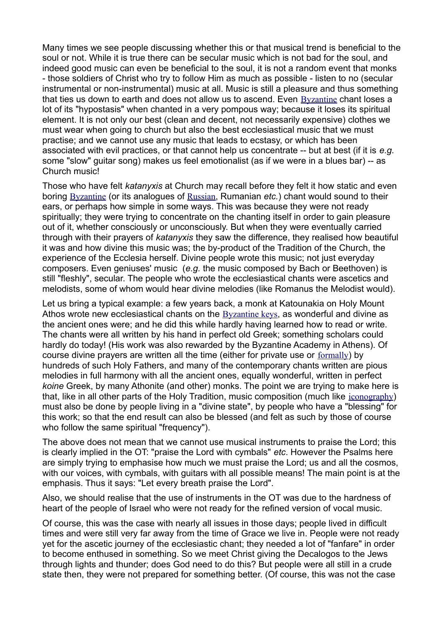Many times we see people discussing whether this or that musical trend is beneficial to the soul or not. While it is true there can be secular music which is not bad for the soul, and indeed good music can even be beneficial to the soul, it is not a random event that monks - those soldiers of Christ who try to follow Him as much as possible - listen to no (secular instrumental or non-instrumental) music at all. Music is still a pleasure and thus something that ties us down to earth and does not allow us to ascend. Even [Byzantine](http://www.eastern-orthodoxy.com/mysteries2.htm#vocal) chant loses a lot of its "hypostasis" when chanted in a very pompous way; because it loses its spiritual element. It is not only our best (clean and decent, not necessarily expensive) clothes we must wear when going to church but also the best ecclesiastical music that we must practise; and we cannot use any music that leads to ecstasy, or which has been associated with evil practices, or that cannot help us concentrate -- but at best (if it is *e.g.* some "slow" guitar song) makes us feel emotionalist (as if we were in a blues bar) -- as Church music!

Those who have felt *katanyxis* at Church may recall before they felt it how static and even boring [Byzantine](http://www.eastern-orthodoxy.com/mysteries2.htm#vocal) (or its analogues of [Russian](http://www.eastern-orthodoxy.com/mysteries2.htm#vocal), Rumanian *etc.*) chant would sound to their ears, or perhaps how simple in some ways. This was because they were not ready spiritually; they were trying to concentrate on the chanting itself in order to gain pleasure out of it, whether consciously or unconsciously. But when they were eventually carried through with their prayers of *katanyxis* they saw the difference, they realised how beautiful it was and how divine this music was; the by-product of the Tradition of the Church, the experience of the Ecclesia herself. Divine people wrote this music; not just everyday composers. Even geniuses' music (*e.g.* the music composed by Bach or Beethoven) is still "fleshly", secular. The people who wrote the ecclesiastical chants were ascetics and melodists, some of whom would hear divine melodies (like Romanus the Melodist would).

Let us bring a typical example: a few years back, a monk at Katounakia on Holy Mount Athos wrote new ecclesiastical chants on the [Byzantine keys](http://www.eastern-orthodoxy.com/mysteries2.htm#vocal), as wonderful and divine as the ancient ones were; and he did this while hardly having learned how to read or write. The chants were all written by his hand in perfect old Greek; something scholars could hardly do today! (His work was also rewarded by the Byzantine Academy in Athens). Of course divine prayers are written all the time (either for private use or [formally](http://www.eastern-orthodoxy.com/mysteries2.htm#formally)) by hundreds of such Holy Fathers, and many of the contemporary chants written are pious melodies in full harmony with all the ancient ones, equally wonderful, written in perfect *koine* Greek, by many Athonite (and other) monks. The point we are trying to make here is that, like in all other parts of the Holy Tradition, music composition (much like [iconography](http://www.eastern-orthodoxy.com/mysteries2.htm#iconography)) must also be done by people living in a "divine state", by people who have a "blessing" for this work; so that the end result can also be blessed (and felt as such by those of course who follow the same spiritual "frequency").

The above does not mean that we cannot use musical instruments to praise the Lord; this is clearly implied in the OT: "praise the Lord with cymbals" *etc*. However the Psalms here are simply trying to emphasise how much we must praise the Lord; us and all the cosmos, with our voices, with cymbals, with quitars with all possible means! The main point is at the emphasis. Thus it says: "Let every breath praise the Lord".

Also, we should realise that the use of instruments in the OT was due to the hardness of heart of the people of Israel who were not ready for the refined version of vocal music.

Of course, this was the case with nearly all issues in those days; people lived in difficult times and were still very far away from the time of Grace we live in. People were not ready yet for the ascetic journey of the ecclesiastic chant; they needed a lot of "fanfare" in order to become enthused in something. So we meet Christ giving the Decalogos to the Jews through lights and thunder; does God need to do this? But people were all still in a crude state then, they were not prepared for something better. (Of course, this was not the case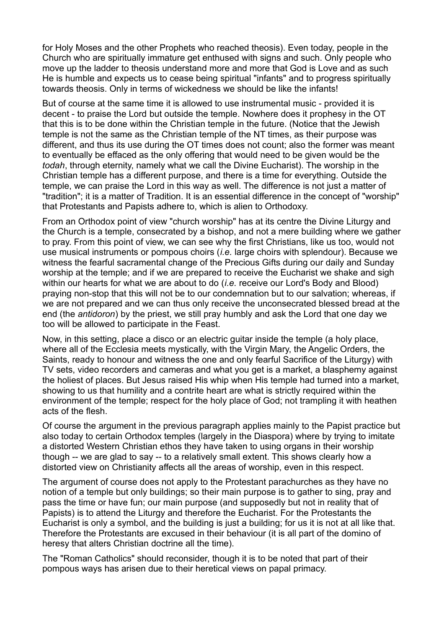for Holy Moses and the other Prophets who reached theosis). Even today, people in the Church who are spiritually immature get enthused with signs and such. Only people who move up the ladder to theosis understand more and more that God is Love and as such He is humble and expects us to cease being spiritual "infants" and to progress spiritually towards theosis. Only in terms of wickedness we should be like the infants!

But of course at the same time it is allowed to use instrumental music - provided it is decent - to praise the Lord but outside the temple. Nowhere does it prophesy in the OT that this is to be done within the Christian temple in the future. (Notice that the Jewish temple is not the same as the Christian temple of the NT times, as their purpose was different, and thus its use during the OT times does not count; also the former was meant to eventually be effaced as the only offering that would need to be given would be the *todah*, through eternity, namely what we call the Divine Eucharist). The worship in the Christian temple has a different purpose, and there is a time for everything. Outside the temple, we can praise the Lord in this way as well. The difference is not just a matter of "tradition"; it is a matter of Tradition. It is an essential difference in the concept of "worship" that Protestants and Papists adhere to, which is alien to Orthodoxy.

From an Orthodox point of view "church worship" has at its centre the Divine Liturgy and the Church is a temple, consecrated by a bishop, and not a mere building where we gather to pray. From this point of view, we can see why the first Christians, like us too, would not use musical instruments or pompous choirs (*i.e.* large choirs with splendour). Because we witness the fearful sacramental change of the Precious Gifts during our daily and Sunday worship at the temple; and if we are prepared to receive the Eucharist we shake and sigh within our hearts for what we are about to do (*i.e.* receive our Lord's Body and Blood) praying non-stop that this will not be to our condemnation but to our salvation; whereas, if we are not prepared and we can thus only receive the unconsecrated blessed bread at the end (the *antidoron*) by the priest, we still pray humbly and ask the Lord that one day we too will be allowed to participate in the Feast.

Now, in this setting, place a disco or an electric guitar inside the temple (a holy place, where all of the Ecclesia meets mystically, with the Virgin Mary, the Angelic Orders, the Saints, ready to honour and witness the one and only fearful Sacrifice of the Liturgy) with TV sets, video recorders and cameras and what you get is a market, a blasphemy against the holiest of places. But Jesus raised His whip when His temple had turned into a market, showing to us that humility and a contrite heart are what is strictly required within the environment of the temple; respect for the holy place of God; not trampling it with heathen acts of the flesh.

Of course the argument in the previous paragraph applies mainly to the Papist practice but also today to certain Orthodox temples (largely in the Diaspora) where by trying to imitate a distorted Western Christian ethos they have taken to using organs in their worship though -- we are glad to say -- to a relatively small extent. This shows clearly how a distorted view on Christianity affects all the areas of worship, even in this respect.

The argument of course does not apply to the Protestant parachurches as they have no notion of a temple but only buildings; so their main purpose is to gather to sing, pray and pass the time or have fun; our main purpose (and supposedly but not in reality that of Papists) is to attend the Liturgy and therefore the Eucharist. For the Protestants the Eucharist is only a symbol, and the building is just a building; for us it is not at all like that. Therefore the Protestants are excused in their behaviour (it is all part of the domino of heresy that alters Christian doctrine all the time).

The "Roman Catholics" should reconsider, though it is to be noted that part of their pompous ways has arisen due to their heretical views on papal primacy.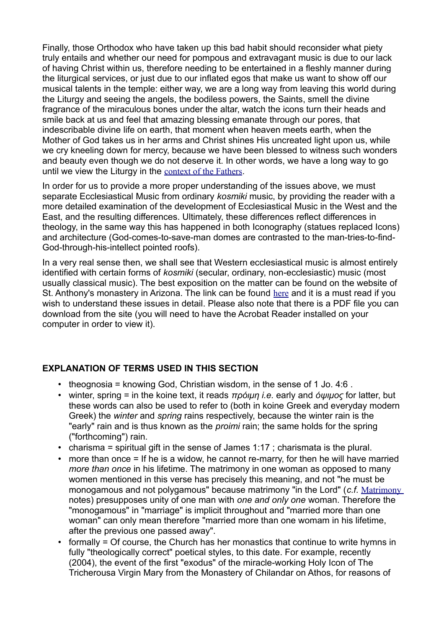Finally, those Orthodox who have taken up this bad habit should reconsider what piety truly entails and whether our need for pompous and extravagant music is due to our lack of having Christ within us, therefore needing to be entertained in a fleshly manner during the liturgical services, or just due to our inflated egos that make us want to show off our musical talents in the temple: either way, we are a long way from leaving this world during the Liturgy and seeing the angels, the bodiless powers, the Saints, smell the divine fragrance of the miraculous bones under the altar, watch the icons turn their heads and smile back at us and feel that amazing blessing emanate through our pores, that indescribable divine life on earth, that moment when heaven meets earth, when the Mother of God takes us in her arms and Christ shines His uncreated light upon us, while we cry kneeling down for mercy, because we have been blessed to witness such wonders and beauty even though we do not deserve it. In other words, we have a long way to go until we view the Liturgy in the [context of the Fathers](http://www.eastern-orthodoxy.com/mysteries2.htm#fathers).

In order for us to provide a more proper understanding of the issues above, we must separate Ecclesiastical Music from ordinary *kosmiki* music, by providing the reader with a more detailed examination of the development of Ecclesiastical Music in the West and the East, and the resulting differences. Ultimately, these differences reflect differences in theology, in the same way this has happened in both Iconography (statues replaced Icons) and architecture (God-comes-to-save-man domes are contrasted to the man-tries-to-find-God-through-his-intellect pointed roofs).

In a very real sense then, we shall see that Western ecclesiastical music is almost entirely identified with certain forms of *kosmiki* (secular, ordinary, non-ecclesiastic) music (most usually classical music). The best exposition on the matter can be found on the website of St. Anthony's monastery in Arizona. The link can be found [here](http://www.stanthonysmonastery.org/music/Intro.htm) and it is a must read if you wish to understand these issues in detail. Please also note that there is a PDF file you can download from the site (you will need to have the Acrobat Reader installed on your computer in order to view it).

### **EXPLANATION OF TERMS USED IN THIS SECTION**

- theognosia = knowing God, Christian wisdom, in the sense of 1 Jo. 4:6.
- winter, spring = in the koine text, it reads *πρόιμη i.e.* early and *όψιμος* for latter, but these words can also be used to refer to (both in koine Greek and everyday modern Greek) the *winter* and *spring* rains respectively, because the winter rain is the "early" rain and is thus known as the *proimi* rain; the same holds for the spring ("forthcoming") rain.
- charisma = spiritual gift in the sense of James 1:17 ; charismata is the plural.
- more than once = If he is a widow, he cannot re-marry, for then he will have married *more than once* in his lifetime. The matrimony in one woman as opposed to many women mentioned in this verse has precisely this meaning, and not "he must be monogamous and not polygamous" because matrimony "in the Lord" (*c.f.* [Matrimony](http://www.eastern-orthodoxy.com/orthodoxy10.htm) notes) presupposes unity of one man with *one and only one* woman. Therefore the "monogamous" in "marriage" is implicit throughout and "married more than one woman" can only mean therefore "married more than one womam in his lifetime, after the previous one passed away".
- formally = Of course, the Church has her monastics that continue to write hymns in fully "theologically correct" poetical styles, to this date. For example, recently (2004), the event of the first "exodus" of the miracle-working Holy Icon of The Tricherousa Virgin Mary from the Monastery of Chilandar on Athos, for reasons of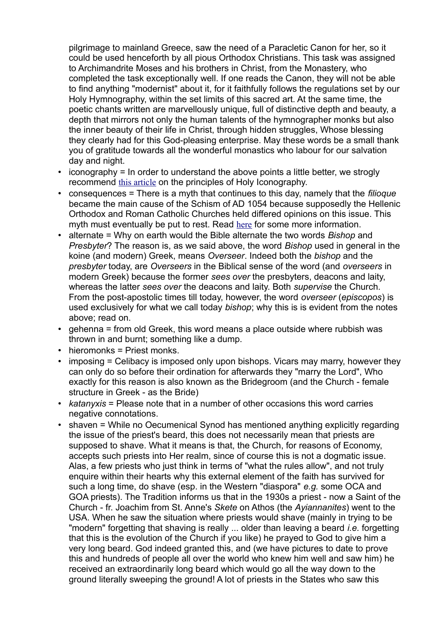pilgrimage to mainland Greece, saw the need of a Paracletic Canon for her, so it could be used henceforth by all pious Orthodox Christians. This task was assigned to Archimandrite Moses and his brothers in Christ, from the Monastery, who completed the task exceptionally well. If one reads the Canon, they will not be able to find anything "modernist" about it, for it faithfully follows the regulations set by our Holy Hymnography, within the set limits of this sacred art. At the same time, the poetic chants written are marvellously unique, full of distinctive depth and beauty, a depth that mirrors not only the human talents of the hymnographer monks but also the inner beauty of their life in Christ, through hidden struggles, Whose blessing they clearly had for this God-pleasing enterprise. May these words be a small thank you of gratitude towards all the wonderful monastics who labour for our salvation day and night.

- iconography = In order to understand the above points a little better, we strogly recommend [this article](http://oodegr.com/english/ekklisia/praktikes/theol_icons3.htm) on the principles of Holy Iconography.
- consequences = There is a myth that continues to this day, namely that the *filioque* became the main cause of the Schism of AD 1054 because supposedly the Hellenic Orthodox and Roman Catholic Churches held differed opinions on this issue. This myth must eventually be put to rest. Read [here](http://oodegr.com/english/biblia/romiosyni/perieh.htm) for some more information.
- alternate = Why on earth would the Bible alternate the two words *Bishop* and *Presbyter*? The reason is, as we said above, the word *Bishop* used in general in the koine (and modern) Greek, means *Overseer*. Indeed both the *bishop* and the *presbyter* today, are *Overseers* in the Biblical sense of the word (and *overseers* in modern Greek) because the former *sees over* the presbyters, deacons and laity, whereas the latter *sees over* the deacons and laity. Both *supervise* the Church. From the post-apostolic times till today, however, the word *overseer* (*episcopos*) is used exclusively for what we call today *bishop*; why this is is evident from the notes above; read on.
- gehenna = from old Greek, this word means a place outside where rubbish was thrown in and burnt; something like a dump.
- hieromonks = Priest monks.
- imposing = Celibacy is imposed only upon bishops. Vicars may marry, however they can only do so before their ordination for afterwards they "marry the Lord", Who exactly for this reason is also known as the Bridegroom (and the Church - female structure in Greek - as the Bride)
- *katanyxis* = Please note that in a number of other occasions this word carries negative connotations.
- shaven = While no Oecumenical Synod has mentioned anything explicitly regarding the issue of the priest's beard, this does not necessarily mean that priests are supposed to shave. What it means is that, the Church, for reasons of Economy, accepts such priests into Her realm, since of course this is not a dogmatic issue. Alas, a few priests who just think in terms of "what the rules allow", and not truly enquire within their hearts why this external element of the faith has survived for such a long time, do shave (esp. in the Western "diaspora" *e.g.* some OCA and GOA priests). The Tradition informs us that in the 1930s a priest - now a Saint of the Church - fr. Joachim from St. Anne's *Skete* on Athos (the *Ayiannanites*) went to the USA. When he saw the situation where priests would shave (mainly in trying to be "modern" forgetting that shaving is really ... older than leaving a beard *i.e.* forgetting that this is the evolution of the Church if you like) he prayed to God to give him a very long beard. God indeed granted this, and (we have pictures to date to prove this and hundreds of people all over the world who knew him well and saw him) he received an extraordinarily long beard which would go all the way down to the ground literally sweeping the ground! A lot of priests in the States who saw this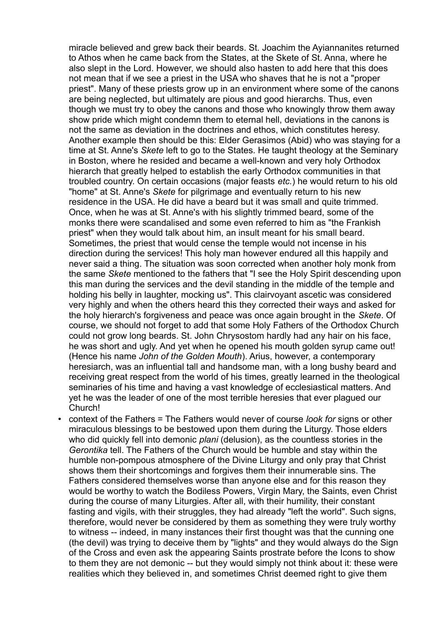miracle believed and grew back their beards. St. Joachim the Ayiannanites returned to Athos when he came back from the States, at the Skete of St. Anna, where he also slept in the Lord. However, we should also hasten to add here that this does not mean that if we see a priest in the USA who shaves that he is not a "proper priest". Many of these priests grow up in an environment where some of the canons are being neglected, but ultimately are pious and good hierarchs. Thus, even though we must try to obey the canons and those who knowingly throw them away show pride which might condemn them to eternal hell, deviations in the canons is not the same as deviation in the doctrines and ethos, which constitutes heresy. Another example then should be this: Elder Gerasimos (Abid) who was staying for a time at St. Anne's *Skete* left to go to the States. He taught theology at the Seminary in Boston, where he resided and became a well-known and very holy Orthodox hierarch that greatly helped to establish the early Orthodox communities in that troubled country. On certain occasions (major feasts *etc.*) he would return to his old "home" at St. Anne's *Skete* for pilgrimage and eventually return to his new residence in the USA. He did have a beard but it was small and quite trimmed. Once, when he was at St. Anne's with his slightly trimmed beard, some of the monks there were scandalised and some even referred to him as "the Frankish priest" when they would talk about him, an insult meant for his small beard. Sometimes, the priest that would cense the temple would not incense in his direction during the services! This holy man however endured all this happily and never said a thing. The situation was soon corrected when another holy monk from the same *Skete* mentioned to the fathers that "I see the Holy Spirit descending upon this man during the services and the devil standing in the middle of the temple and holding his belly in laughter, mocking us". This clairvoyant ascetic was considered very highly and when the others heard this they corrected their ways and asked for the holy hierarch's forgiveness and peace was once again brought in the *Skete*. Of course, we should not forget to add that some Holy Fathers of the Orthodox Church could not grow long beards. St. John Chrysostom hardly had any hair on his face, he was short and ugly. And yet when he opened his mouth golden syrup came out! (Hence his name *John of the Golden Mouth*). Arius, however, a contemporary heresiarch, was an influential tall and handsome man, with a long bushy beard and receiving great respect from the world of his times, greatly learned in the theological seminaries of his time and having a vast knowledge of ecclesiastical matters. And yet he was the leader of one of the most terrible heresies that ever plagued our Church!

• context of the Fathers = The Fathers would never of course *look for* signs or other miraculous blessings to be bestowed upon them during the Liturgy. Those elders who did quickly fell into demonic *plani* (delusion), as the countless stories in the *Gerontika* tell. The Fathers of the Church would be humble and stay within the humble non-pompous atmosphere of the Divine Liturgy and only pray that Christ shows them their shortcomings and forgives them their innumerable sins. The Fathers considered themselves worse than anyone else and for this reason they would be worthy to watch the Bodiless Powers, Virgin Mary, the Saints, even Christ during the course of many Liturgies. After all, with their humility, their constant fasting and vigils, with their struggles, they had already "left the world". Such signs, therefore, would never be considered by them as something they were truly worthy to witness -- indeed, in many instances their first thought was that the cunning one (the devil) was trying to deceive them by "lights" and they would always do the Sign of the Cross and even ask the appearing Saints prostrate before the Icons to show to them they are not demonic -- but they would simply not think about it: these were realities which they believed in, and sometimes Christ deemed right to give them